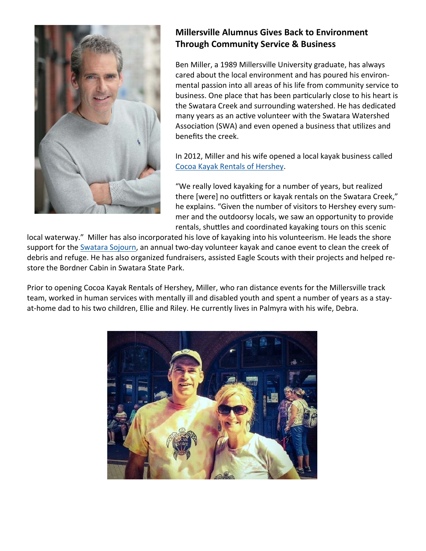

## **Millersville Alumnus Gives Back to Environment Through Community Service & Business**

Ben Miller, a 1989 Millersville University graduate, has always cared about the local environment and has poured his environmental passion into all areas of his life from community service to business. One place that has been particularly close to his heart is the Swatara Creek and surrounding watershed. He has dedicated many years as an active volunteer with the Swatara Watershed Association (SWA) and even opened a business that utilizes and benefits the creek.

In 2012, Miller and his wife opened a local kayak business called Cocoa Kayak Rentals of Hershey.

"We really loved kayaking for a number of years, but realized there [were] no outfitters or kayak rentals on the Swatara Creek," he explains. "Given the number of visitors to Hershey every summer and the outdoorsy locals, we saw an opportunity to provide rentals, shuttles and coordinated kayaking tours on this scenic

local waterway." Miller has also incorporated his love of kayaking into his volunteerism. He leads the shore support for the Swatara Sojourn, an annual two-day volunteer kayak and canoe event to clean the creek of debris and refuge. He has also organized fundraisers, assisted Eagle Scouts with their projects and helped restore the Bordner Cabin in Swatara State Park.

Prior to opening Cocoa Kayak Rentals of Hershey, Miller, who ran distance events for the Millersville track team, worked in human services with mentally ill and disabled youth and spent a number of years as a stayat-home dad to his two children, Ellie and Riley. He currently lives in Palmyra with his wife, Debra.

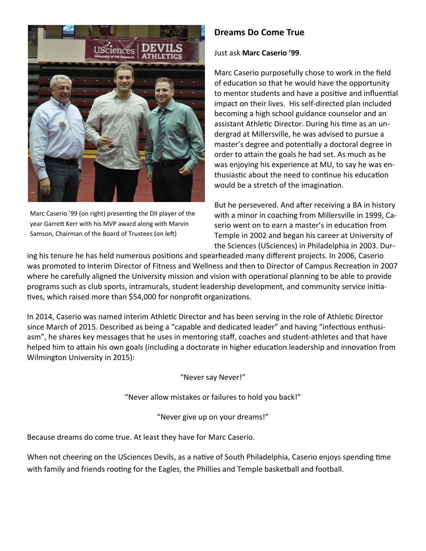

Marc Caserio '99 (on right) presenting the DII player of the year Garrett Kerr with his MVP award along with Marvin Samson, Chairman of the Board of Trustees (on left)

## **Dreams Do Come True**

#### Just ask **Marc Caserio '99**.

Marc Caserio purposefully chose to work in the field of education so that he would have the opportunity to mentor students and have a positive and influential impact on their lives. His self-directed plan included becoming a high school guidance counselor and an assistant Athletic Director. During his time as an undergrad at Millersville, he was advised to pursue a master's degree and potentially a doctoral degree in order to attain the goals he had set. As much as he was enjoying his experience at MU, to say he was enthusiastic about the need to continue his education would be a stretch of the imagination.

But he persevered. And after receiving a BA in history with a minor in coaching from Millersville in 1999, Caserio went on to earn a master's in education from Temple in 2002 and began his career at University of the Sciences (USciences) in Philadelphia in 2003. Dur-

ing his tenure he has held numerous positions and spearheaded many different projects. In 2006, Caserio was promoted to Interim Director of Fitness and Wellness and then to Director of Campus Recreation in 2007 where he carefully aligned the University mission and vision with operational planning to be able to provide programs such as club sports, intramurals, student leadership development, and community service initiatives, which raised more than \$54,000 for nonprofit organizations.

In 2014, Caserio was named interim Athletic Director and has been serving in the role of Athletic Director since March of 2015. Described as being a "capable and dedicated leader" and having "infectious enthusiasm", he shares key messages that he uses in mentoring staff, coaches and student-athletes and that have helped him to attain his own goals (including a doctorate in higher education leadership and innovation from Wilmington University in 2015):

"Never say Never!"

"Never allow mistakes or failures to hold you back!"

"Never give up on your dreams!"

Because dreams do come true. At least they have for Marc Caserio.

When not cheering on the USciences Devils, as a native of South Philadelphia, Caserio enjoys spending time with family and friends rooting for the Eagles, the Phillies and Temple basketball and football.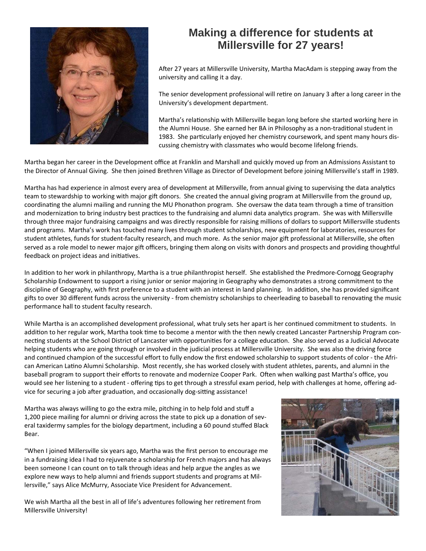

# **Making a difference for students at Millersville for 27 years!**

After 27 years at Millersville University, Martha MacAdam is stepping away from the university and calling it a day.

The senior development professional will retire on January 3 after a long career in the University's development department.

Martha's relationship with Millersville began long before she started working here in the Alumni House. She earned her BA in Philosophy as a non-traditional student in 1983. She particularly enjoyed her chemistry coursework, and spent many hours discussing chemistry with classmates who would become lifelong friends.

Martha began her career in the Development office at Franklin and Marshall and quickly moved up from an Admissions Assistant to the Director of Annual Giving. She then joined Brethren Village as Director of Development before joining Millersville's staff in 1989.

Martha has had experience in almost every area of development at Millersville, from annual giving to supervising the data analytics team to stewardship to working with major gift donors. She created the annual giving program at Millersville from the ground up, coordinating the alumni mailing and running the MU Phonathon program. She oversaw the data team through a time of transition and modernization to bring industry best practices to the fundraising and alumni data analytics program. She was with Millersville through three major fundraising campaigns and was directly responsible for raising millions of dollars to support Millersville students and programs. Martha's work has touched many lives through student scholarships, new equipment for laboratories, resources for student athletes, funds for student-faculty research, and much more. As the senior major gift professional at Millersville, she often served as a role model to newer major gift officers, bringing them along on visits with donors and prospects and providing thoughtful feedback on project ideas and initiatives.

In addition to her work in philanthropy, Martha is a true philanthropist herself. She established the Predmore-Cornogg Geography Scholarship Endowment to support a rising junior or senior majoring in Geography who demonstrates a strong commitment to the discipline of Geography, with first preference to a student with an interest in land planning. In addition, she has provided significant gifts to over 30 different funds across the university - from chemistry scholarships to cheerleading to baseball to renovating the music performance hall to student faculty research.

While Martha is an accomplished development professional, what truly sets her apart is her continued commitment to students. In addition to her regular work, Martha took time to become a mentor with the then newly created Lancaster Partnership Program connecting students at the School District of Lancaster with opportunities for a college education. She also served as a Judicial Advocate helping students who are going through or involved in the judicial process at Millersville University. She was also the driving force and continued champion of the successful effort to fully endow the first endowed scholarship to support students of color - the African American Latino Alumni Scholarship. Most recently, she has worked closely with student athletes, parents, and alumni in the baseball program to support their efforts to renovate and modernize Cooper Park. Often when walking past Martha's office, you would see her listening to a student - offering tips to get through a stressful exam period, help with challenges at home, offering advice for securing a job after graduation, and occasionally dog-sitting assistance!

Martha was always willing to go the extra mile, pitching in to help fold and stuff a 1,200 piece mailing for alumni or driving across the state to pick up a donation of several taxidermy samples for the biology department, including a 60 pound stuffed Black Bear.

"When I joined Millersville six years ago, Martha was the first person to encourage me in a fundraising idea I had to rejuvenate a scholarship for French majors and has always been someone I can count on to talk through ideas and help argue the angles as we explore new ways to help alumni and friends support students and programs at Millersville," says Alice McMurry, Associate Vice President for Advancement.

We wish Martha all the best in all of life's adventures following her retirement from Millersville University!